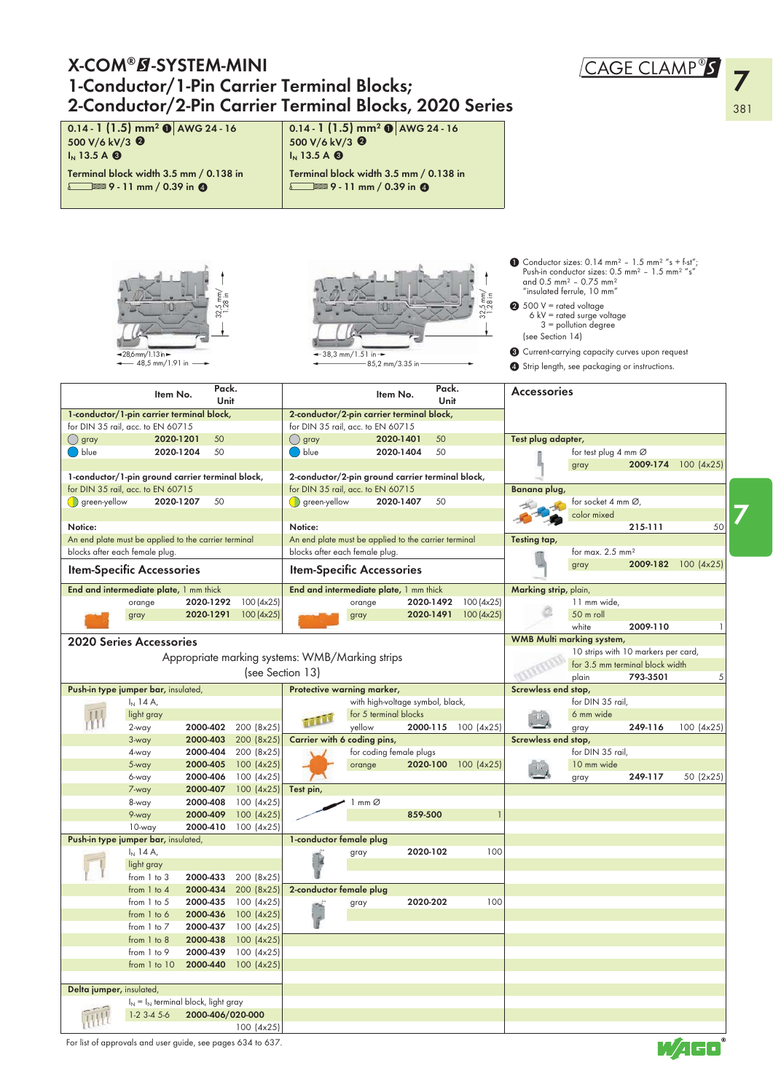| <b>X-COM®B-SYSTEM-MINI</b>                                                                               |                                                         |                        |                          |                                                  |                                                                                |                        |                         |                       |                                                                                                                                                                                               | CAGE CLAMP®S |                     |     |
|----------------------------------------------------------------------------------------------------------|---------------------------------------------------------|------------------------|--------------------------|--------------------------------------------------|--------------------------------------------------------------------------------|------------------------|-------------------------|-----------------------|-----------------------------------------------------------------------------------------------------------------------------------------------------------------------------------------------|--------------|---------------------|-----|
| 1-Conductor/1-Pin Carrier Terminal Blocks;                                                               |                                                         |                        |                          |                                                  |                                                                                |                        |                         |                       |                                                                                                                                                                                               |              |                     |     |
| 2-Conductor/2-Pin Carrier Terminal Blocks, 2020 Series                                                   |                                                         |                        |                          |                                                  |                                                                                |                        |                         |                       |                                                                                                                                                                                               |              |                     | 381 |
| $0.14 - 1$ (1.5) mm <sup>2</sup> $\odot$ AWG 24 - 16<br>500 V/6 kV/3 <sup>0</sup><br>$IN$ 13.5 A $\odot$ |                                                         |                        |                          | 500 V/6 kV/3 <sup>0</sup><br>$IN$ 13.5 A $\odot$ | 0.14 - 1 (1.5) mm <sup>2</sup> $\odot$ AWG 24 - 16                             |                        |                         |                       |                                                                                                                                                                                               |              |                     |     |
| Terminal block width 3.5 mm / 0.138 in<br>$\sqrt{9}$ - 11 mm / 0.39 in $\odot$                           |                                                         |                        |                          |                                                  | Terminal block width 3.5 mm / 0.138 in<br>$\sqrt{9}$ - 11 mm / 0.39 in $\odot$ |                        |                         |                       |                                                                                                                                                                                               |              |                     |     |
|                                                                                                          |                                                         |                        |                          |                                                  |                                                                                |                        |                         |                       | • Conductor sizes: 0.14 mm <sup>2</sup> - 1.5 mm <sup>2</sup> "s + f-st";<br>Push-in conductor sizes: 0.5 mm <sup>2</sup> - 1.5 mm <sup>2</sup> "s"                                           |              |                     |     |
|                                                                                                          |                                                         |                        |                          |                                                  | 5.8 in                                                                         |                        |                         |                       | and 0.5 mm <sup>2</sup> - 0.75 mm <sup>2</sup><br>"insulated ferrule, 10 mm"<br>$\bullet$ 500 V = rated voltage<br>$6$ kV = rated surge voltage<br>$3$ = pollution degree<br>(see Section 14) |              |                     |     |
| $-28,6$ mm/1.13 in $-$                                                                                   | $\leftarrow$ 48,5 mm/1.91 in $\rightarrow$              |                        |                          |                                                  | $-38,3$ mm/1.51 in $-$<br>85,2 mm/3.35 in                                      |                        |                         |                       | Current-carrying capacity curves upon request<br>Strip length, see packaging or instructions.                                                                                                 |              |                     |     |
|                                                                                                          | Item No.                                                | Pack.<br>Unit          |                          |                                                  | Item No.                                                                       | Pack.<br>Unit          |                         | <b>Accessories</b>    |                                                                                                                                                                                               |              |                     |     |
| 1-conductor/1-pin carrier terminal block,<br>for DIN 35 rail, acc. to EN 60715                           |                                                         |                        |                          |                                                  | 2-conductor/2-pin carrier terminal block,<br>for DIN 35 rail, acc. to EN 60715 |                        |                         |                       |                                                                                                                                                                                               |              |                     |     |
| () gray                                                                                                  | 2020-1201                                               | 50                     |                          | $( \ )$ gray                                     | 2020-1401                                                                      | 50                     |                         | Test plug adapter,    |                                                                                                                                                                                               |              |                     |     |
| $\bigcirc$ blue                                                                                          | 2020-1204                                               | 50                     |                          | blue (                                           | 2020-1404                                                                      | 50                     |                         |                       | for test plug 4 mm $\varnothing$                                                                                                                                                              |              |                     |     |
| 1-conductor/1-pin ground carrier terminal block,                                                         |                                                         |                        |                          |                                                  | 2-conductor/2-pin ground carrier terminal block,                               |                        |                         |                       | gray                                                                                                                                                                                          |              | 2009-174 100 (4x25) |     |
| for DIN 35 rail, acc. to EN 60715                                                                        |                                                         |                        |                          |                                                  | for DIN 35 rail, acc. to EN 60715                                              |                        |                         | Banana plug,          |                                                                                                                                                                                               |              |                     |     |
| $\bigcirc$ green-yellow                                                                                  | 2020-1207                                               | 50                     |                          | $\bigcirc$ green-yellow                          | 2020-1407                                                                      | 50                     |                         |                       | for socket 4 mm Ø,                                                                                                                                                                            |              |                     |     |
| Notice:                                                                                                  |                                                         |                        |                          | Notice:                                          |                                                                                |                        |                         |                       | color mixed                                                                                                                                                                                   | 215-111      | 50                  |     |
| An end plate must be applied to the carrier terminal                                                     |                                                         |                        |                          |                                                  | An end plate must be applied to the carrier terminal                           |                        |                         | Testing tap,          |                                                                                                                                                                                               |              |                     |     |
| blocks after each female plug.                                                                           |                                                         |                        |                          |                                                  | blocks after each female plug.                                                 |                        |                         |                       | for max. $2.5$ mm <sup>2</sup>                                                                                                                                                                |              |                     |     |
| <b>Item-Specific Accessories</b>                                                                         |                                                         |                        |                          |                                                  | <b>Item-Specific Accessories</b>                                               |                        |                         |                       | gray                                                                                                                                                                                          |              | 2009-182 100 (4x25) |     |
| End and intermediate plate, 1 mm thick                                                                   |                                                         |                        |                          |                                                  | End and intermediate plate, 1 mm thick                                         |                        |                         | Marking strip, plain, |                                                                                                                                                                                               |              |                     |     |
| orange                                                                                                   |                                                         | 2020-1292<br>2020-1291 | 100(4x25)<br>100(4x25)   |                                                  | orange<br>gray                                                                 | 2020-1492<br>2020-1491 | 100 (4x25)<br>100(4x25) |                       | 11 mm wide,<br>50 m roll                                                                                                                                                                      |              |                     |     |
| gray                                                                                                     |                                                         |                        |                          |                                                  |                                                                                |                        |                         |                       | white                                                                                                                                                                                         | 2009-110     |                     |     |
| <b>2020 Series Accessories</b>                                                                           |                                                         |                        |                          |                                                  |                                                                                |                        |                         |                       | <b>WMB Multi marking system,</b>                                                                                                                                                              |              |                     |     |
|                                                                                                          |                                                         |                        |                          | Appropriate marking systems: WMB/Marking strips  |                                                                                |                        |                         |                       | 10 strips with 10 markers per card,<br>for 3.5 mm terminal block width                                                                                                                        |              |                     |     |
|                                                                                                          |                                                         |                        |                          | (see Section 13)                                 |                                                                                |                        |                         |                       | plain                                                                                                                                                                                         | 793-3501     | 5                   |     |
| Push-in type jumper bar, insulated,                                                                      |                                                         |                        |                          |                                                  | Protective warning marker,                                                     |                        |                         | Screwless end stop,   |                                                                                                                                                                                               |              |                     |     |
| $I_{N}$ 14 A,                                                                                            | light gray                                              |                        |                          |                                                  | with high-voltage symbol, black,<br>for 5 terminal blocks                      |                        |                         |                       | for DIN 35 rail,<br>6 mm wide                                                                                                                                                                 |              |                     |     |
| 2-way                                                                                                    |                                                         | 2000-402               | 200 (8x25)               | <b>TOUT</b>                                      | yellow                                                                         | 2000-115               | 100 (4x25)              |                       | gray                                                                                                                                                                                          | 249-116      | 100 (4x25)          |     |
| 3-way                                                                                                    |                                                         | 2000-403               | 200 (8x25)               |                                                  | Carrier with 6 coding pins,                                                    |                        |                         | Screwless end stop,   |                                                                                                                                                                                               |              |                     |     |
| 4-way                                                                                                    |                                                         | 2000-404<br>2000-405   | 200 (8x25)<br>100 (4x25) |                                                  | for coding female plugs                                                        |                        | 2020-100 100 (4x25)     |                       | for DIN 35 rail,<br>10 mm wide                                                                                                                                                                |              |                     |     |
| 5-way<br>6-way                                                                                           |                                                         | 2000-406               | 100 (4x25)               |                                                  | orange                                                                         |                        |                         | $\frac{1}{2}$         | gray                                                                                                                                                                                          | 249-117      | 50 (2x25)           |     |
| 7-way                                                                                                    |                                                         | 2000-407               | 100 (4x25)               | Test pin,                                        |                                                                                |                        |                         |                       |                                                                                                                                                                                               |              |                     |     |
| 8-way                                                                                                    |                                                         | 2000-408               | 100(4x25)                |                                                  | mm@                                                                            |                        |                         |                       |                                                                                                                                                                                               |              |                     |     |
| 9-way<br>10-way                                                                                          |                                                         | 2000-409<br>2000-410   | 100(4x25)<br>100(4x25)   |                                                  |                                                                                | 859-500                | $\mathbf{1}$            |                       |                                                                                                                                                                                               |              |                     |     |
| Push-in type jumper bar, insulated,                                                                      |                                                         |                        |                          | 1-conductor female plug                          |                                                                                |                        |                         |                       |                                                                                                                                                                                               |              |                     |     |
| $I_N$ 14 A,                                                                                              |                                                         |                        |                          |                                                  | gray                                                                           | 2020-102               | 100                     |                       |                                                                                                                                                                                               |              |                     |     |
|                                                                                                          | light gray<br>from 1 to 3                               | 2000-433               | 200 (8x25)               |                                                  |                                                                                |                        |                         |                       |                                                                                                                                                                                               |              |                     |     |
|                                                                                                          | from $1$ to $4$                                         | 2000-434               | 200 (8x25)               | 2-conductor female plug                          |                                                                                |                        |                         |                       |                                                                                                                                                                                               |              |                     |     |
|                                                                                                          | from 1 to 5                                             | 2000-435               | 100(4x25)                |                                                  | gray                                                                           | 2020-202               | 100                     |                       |                                                                                                                                                                                               |              |                     |     |
|                                                                                                          | from 1 to 6<br>from 1 to 7                              | 2000-436<br>2000-437   | 100 (4x25)<br>100 (4x25) |                                                  |                                                                                |                        |                         |                       |                                                                                                                                                                                               |              |                     |     |
|                                                                                                          | from 1 to 8                                             | 2000-438               | 100 (4x25)               |                                                  |                                                                                |                        |                         |                       |                                                                                                                                                                                               |              |                     |     |
|                                                                                                          | from 1 to 9                                             | 2000-439               | 100(4x25)                |                                                  |                                                                                |                        |                         |                       |                                                                                                                                                                                               |              |                     |     |
|                                                                                                          | from 1 to 10                                            | 2000-440               | 100 (4x25)               |                                                  |                                                                                |                        |                         |                       |                                                                                                                                                                                               |              |                     |     |
|                                                                                                          |                                                         |                        |                          |                                                  |                                                                                |                        |                         |                       |                                                                                                                                                                                               |              |                     |     |
| Delta jumper, insulated,                                                                                 |                                                         |                        |                          |                                                  |                                                                                |                        |                         |                       |                                                                                                                                                                                               |              |                     |     |
|                                                                                                          | $I_N = I_N$ terminal block, light gray<br>$1-2$ 3-4 5-6 | 2000-406/020-000       |                          |                                                  |                                                                                |                        |                         |                       |                                                                                                                                                                                               |              |                     |     |

For list of approvals and user guide, see pages 634 to 637.

# $M$   $\overline{AB}$

7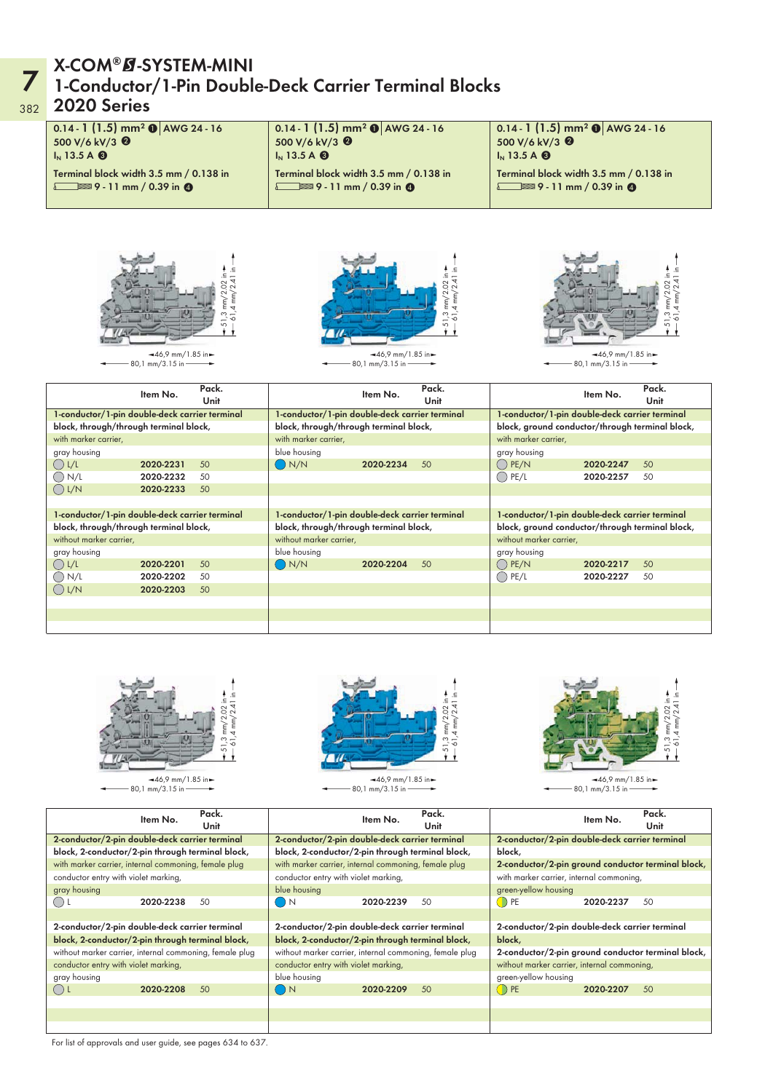#### 7 382 X-COM®Ø-SYSTEM-MINI<br>1-Conductor/1-Pin Double-Deck Carrier Terminal Blocks 2020 Series

| 0.14 - 1 (1.5) mm <sup>2</sup> $\bullet$ AWG 24 - 16<br>500 V/6 kV/3 <sup>0</sup><br>$IN$ 13.5 A $\odot$<br>Terminal block width 3.5 mm / 0.138 in<br>$\sqrt{9}$ - 11 mm / 0.39 in $\odot$ |                                                                               |                           | 0.14 - 1 $(1.5)$ mm <sup>2</sup> $\odot$ AWG 24 - 16<br>500 V/6 kV/3 <sup>0</sup><br>$IN$ 13.5 A $\odot$<br>Terminal block width 3.5 mm / 0.138 in<br>$\sqrt{9}$ - 11 mm / 0.39 in $\odot$ |                                                               |                                      | 500 V/6 kV/3 <sup>0</sup><br>$IN$ 13.5 A $\odot$ | 0.14 - 1 $(1.5)$ mm <sup>2</sup> $\odot$ AWG 24 - 16<br>Terminal block width 3.5 mm / 0.138 in<br>$\sqrt{9}$ - 11 mm / 0.39 in $\odot$ |               |
|--------------------------------------------------------------------------------------------------------------------------------------------------------------------------------------------|-------------------------------------------------------------------------------|---------------------------|--------------------------------------------------------------------------------------------------------------------------------------------------------------------------------------------|---------------------------------------------------------------|--------------------------------------|--------------------------------------------------|----------------------------------------------------------------------------------------------------------------------------------------|---------------|
|                                                                                                                                                                                            | $-46.9$ mm/1.85 in $\blacktriangleright$<br>80,1 mm/3.15 in $\longrightarrow$ | $\overline{mn}$<br>5<br>5 |                                                                                                                                                                                            | $-46.9$ mm/1.85 in $\blacktriangleright$<br>80,1 mm/3.15 in - | $-51,3$ mm/2.02 in $-61,4$ mm/2.41 i |                                                  | $-46.9$ mm/1.85 in $\blacktriangleright$<br>80,1 mm/3.15 in -                                                                          |               |
|                                                                                                                                                                                            | Item No.                                                                      | Pack.<br>Unit             |                                                                                                                                                                                            | Item No.                                                      | Pack.<br>Unit                        |                                                  | Item No.                                                                                                                               | Pack.<br>Unit |
| 1-conductor/1-pin double-deck carrier terminal                                                                                                                                             |                                                                               |                           | 1-conductor/1-pin double-deck carrier terminal                                                                                                                                             |                                                               |                                      |                                                  | 1-conductor/1-pin double-deck carrier terminal                                                                                         |               |
| block, through/through terminal block,                                                                                                                                                     |                                                                               |                           | block, through/through terminal block,                                                                                                                                                     |                                                               |                                      |                                                  | block, ground conductor/through terminal block,                                                                                        |               |
| with marker carrier,                                                                                                                                                                       |                                                                               |                           | with marker carrier,                                                                                                                                                                       |                                                               |                                      | with marker carrier,                             |                                                                                                                                        |               |
| gray housing                                                                                                                                                                               |                                                                               |                           | blue housing                                                                                                                                                                               |                                                               |                                      | gray housing                                     |                                                                                                                                        |               |
| $\bigcirc$ L/L                                                                                                                                                                             | 2020-2231                                                                     | 50                        | $\bigcap N/N$                                                                                                                                                                              | 2020-2234                                                     | 50                                   | $\bigcap$ PE/N                                   | 2020-2247                                                                                                                              | 50            |
| $\bigcirc$ N/L                                                                                                                                                                             | 2020-2232                                                                     | 50                        |                                                                                                                                                                                            |                                                               |                                      | $\bigcirc$ PE/L                                  | 2020-2257                                                                                                                              | 50            |
| $\bigcirc$ L/N                                                                                                                                                                             | 2020-2233                                                                     | 50                        |                                                                                                                                                                                            |                                                               |                                      |                                                  |                                                                                                                                        |               |
| 1-conductor/1-pin double-deck carrier terminal                                                                                                                                             |                                                                               |                           | 1-conductor/1-pin double-deck carrier terminal                                                                                                                                             |                                                               |                                      |                                                  | 1-conductor/1-pin double-deck carrier terminal                                                                                         |               |
| block, through/through terminal block,                                                                                                                                                     |                                                                               |                           | block, through/through terminal block,                                                                                                                                                     |                                                               |                                      |                                                  | block, ground conductor/through terminal block,                                                                                        |               |
| without marker carrier,                                                                                                                                                                    |                                                                               |                           | without marker carrier,                                                                                                                                                                    |                                                               |                                      | without marker carrier,                          |                                                                                                                                        |               |
| gray housing                                                                                                                                                                               |                                                                               |                           | blue housing                                                                                                                                                                               |                                                               |                                      | gray housing                                     |                                                                                                                                        |               |
| $\bigcirc$ L/L                                                                                                                                                                             | 2020-2201                                                                     | 50                        | $\bigcirc$ N/N                                                                                                                                                                             | 2020-2204                                                     | 50                                   | $\bigcap$ PE/N                                   | 2020-2217                                                                                                                              | 50            |
| $\bigcirc$ N/L                                                                                                                                                                             | 2020-2202                                                                     | 50                        |                                                                                                                                                                                            |                                                               |                                      | $\bigcirc$ PE/L                                  | 2020-2227                                                                                                                              | 50            |
| $\bigcirc$ L/N                                                                                                                                                                             | 2020-2203                                                                     | 50                        |                                                                                                                                                                                            |                                                               |                                      |                                                  |                                                                                                                                        |               |
|                                                                                                                                                                                            |                                                                               |                           |                                                                                                                                                                                            |                                                               |                                      |                                                  |                                                                                                                                        |               |
|                                                                                                                                                                                            |                                                                               |                           |                                                                                                                                                                                            |                                                               |                                      |                                                  |                                                                                                                                        |               |



| Pack.<br>Item No.<br>Unit                               | Pack.<br>Item No.<br>Unit                               | Pack.<br>Item No.<br>Unit                          |  |  |
|---------------------------------------------------------|---------------------------------------------------------|----------------------------------------------------|--|--|
| 2-conductor/2-pin double-deck carrier terminal          | 2-conductor/2-pin double-deck carrier terminal          | 2-conductor/2-pin double-deck carrier terminal     |  |  |
| block, 2-conductor/2-pin through terminal block,        | block, 2-conductor/2-pin through terminal block,        | block,                                             |  |  |
| with marker carrier, internal commoning, female plug    | with marker carrier, internal commoning, female plug    | 2-conductor/2-pin ground conductor terminal block, |  |  |
| conductor entry with violet marking,                    | conductor entry with violet marking,                    | with marker carrier, internal commoning,           |  |  |
| gray housing                                            | blue housing                                            | green-yellow housing                               |  |  |
| 50<br>2020-2238                                         | $\bigcup$ N<br>2020-2239<br>50                          | $\bigcirc$ PE<br>50<br>2020-2237                   |  |  |
|                                                         |                                                         |                                                    |  |  |
| 2-conductor/2-pin double-deck carrier terminal          | 2-conductor/2-pin double-deck carrier terminal          | 2-conductor/2-pin double-deck carrier terminal     |  |  |
| block, 2-conductor/2-pin through terminal block,        | block, 2-conductor/2-pin through terminal block,        | block,                                             |  |  |
| without marker carrier, internal commoning, female plug | without marker carrier, internal commoning, female plug | 2-conductor/2-pin ground conductor terminal block, |  |  |
| conductor entry with violet marking,                    | conductor entry with violet marking,                    | without marker carrier, internal commoning,        |  |  |
| gray housing                                            | blue housing                                            | green-yellow housing                               |  |  |
| 50<br>2020-2208<br>( ) L                                | $\bigcirc$ N<br>50<br>2020-2209                         | $\bigcirc$ PE<br>50<br>2020-2207                   |  |  |
|                                                         |                                                         |                                                    |  |  |
|                                                         |                                                         |                                                    |  |  |
|                                                         |                                                         |                                                    |  |  |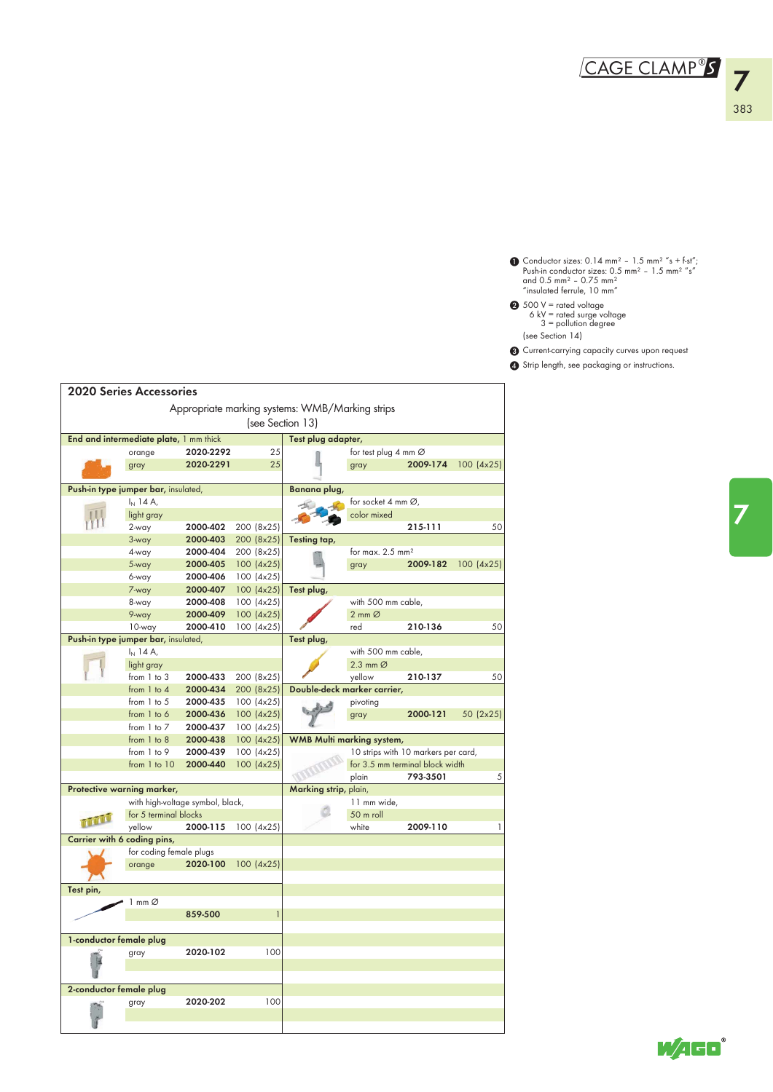Conductor sizes:  $0.14$  mm<sup>2</sup> -  $1.5$  mm<sup>2</sup> "s + f-st",<br>Push-in conductor sizes:  $0.5$  mm<sup>2</sup> -  $1.5$  mm<sup>2</sup> "s"<br>and 0.5 mm<sup>2</sup> - 0.75 mm<sup>2</sup><br>"insulated ferrule, 10 mm"  $\bf{0}$ 

- 500 V = rated voltage 6 kV = rated surge voltage 3 = pollution degree  $\boldsymbol{c}$
- (see Section 14)
- 3 Current-carrying capacity curves upon request
- 4 Strip length, see packaging or instructions.

|                         | <b>2020 Series Accessories</b>         |                                  |                         |                                                 |                                 |                                     |            |
|-------------------------|----------------------------------------|----------------------------------|-------------------------|-------------------------------------------------|---------------------------------|-------------------------------------|------------|
|                         |                                        |                                  |                         |                                                 |                                 |                                     |            |
|                         |                                        |                                  |                         | Appropriate marking systems: WMB/Marking strips |                                 |                                     |            |
|                         |                                        |                                  |                         | (see Section 13)                                |                                 |                                     |            |
|                         | End and intermediate plate, 1 mm thick |                                  |                         | Test plug adapter,                              |                                 |                                     |            |
|                         | orange                                 | 2020-2292                        | 25                      |                                                 | for test plug 4 mm Ø            |                                     |            |
|                         | gray                                   | 2020-2291                        | 25                      |                                                 | gray                            | 2009-174                            | 100 (4x25) |
|                         |                                        |                                  |                         |                                                 |                                 |                                     |            |
|                         | Push-in type jumper bar, insulated,    |                                  |                         | Banana plug,                                    |                                 |                                     |            |
|                         | $I_N$ 14 A,                            |                                  |                         |                                                 | for socket 4 mm $\varnothing$ , |                                     |            |
|                         | light gray                             |                                  |                         |                                                 | color mixed                     |                                     |            |
|                         | 2-way                                  | 2000-402                         | 200 (8x25)              |                                                 |                                 | 215-111                             | 50         |
|                         | 3-way                                  | 2000-403                         | 200 (8x25)              | Testing tap,                                    |                                 |                                     |            |
|                         | 4-way                                  | 2000-404                         | 200 (8x25)              |                                                 | for max. $2.5$ mm <sup>2</sup>  |                                     |            |
|                         | 5-way                                  | 2000-405                         | 100 (4x25)              |                                                 | gray                            | 2009-182                            | 100 (4x25) |
|                         | 6-way<br>7-way                         | 2000-406<br>2000-407             | 100(4x25)<br>100 (4x25) | Test plug,                                      |                                 |                                     |            |
|                         | 8-way                                  | 2000-408                         | 100 (4x25)              |                                                 | with 500 mm cable,              |                                     |            |
|                         | 9-way                                  | 2000-409                         | 100 (4x25)              |                                                 | $2 \text{ mm } \varnothing$     |                                     |            |
|                         | 10-way                                 | 2000-410                         | 100(4x25)               |                                                 | red                             | 210-136                             | 50         |
|                         | Push-in type jumper bar, insulated,    |                                  |                         | Test plug,                                      |                                 |                                     |            |
|                         | $I_N$ 14 A,                            |                                  |                         |                                                 | with 500 mm cable,              |                                     |            |
|                         | light gray                             |                                  |                         |                                                 | 2.3 mm $\varnothing$            |                                     |            |
|                         | from 1 to 3                            | 2000-433                         | 200 (8x25)              |                                                 | yellow                          | 210-137                             | 50         |
|                         | from 1 to 4                            | 2000-434                         | 200 (8x25)              | Double-deck marker carrier,                     |                                 |                                     |            |
|                         | from 1 to 5                            | 2000-435                         | 100 (4x25)              |                                                 | pivoting                        |                                     |            |
|                         | from 1 to 6                            | 2000-436                         | 100 (4x25)              |                                                 | gray                            | 2000-121                            | 50 (2x25)  |
|                         | from $1$ to $7$                        | 2000-437                         | 100 (4x25)              |                                                 |                                 |                                     |            |
|                         | from 1 to 8                            | 2000-438                         | 100 (4x25)              | <b>WMB Multi marking system,</b>                |                                 |                                     |            |
|                         | from 1 to 9                            | 2000-439                         | 100 (4x25)              |                                                 |                                 | 10 strips with 10 markers per card, |            |
|                         | from 1 to 10                           | 2000-440                         | 100 (4x25)              |                                                 |                                 | for 3.5 mm terminal block width     |            |
|                         |                                        |                                  |                         |                                                 | plain                           | 793-3501                            | 5          |
|                         | Protective warning marker,             |                                  |                         | Marking strip, plain,                           |                                 |                                     |            |
|                         |                                        | with high-voltage symbol, black, |                         |                                                 | 11 mm wide,                     |                                     |            |
| TTTT                    | for 5 terminal blocks                  |                                  |                         |                                                 | 50 m roll                       |                                     |            |
|                         | yellow                                 | 2000-115                         | 100(4x25)               |                                                 | white                           | 2009-110                            | 1          |
|                         | Carrier with 6 coding pins,            |                                  |                         |                                                 |                                 |                                     |            |
|                         | for coding female plugs<br>orange      | 2020-100                         | 100 (4x25)              |                                                 |                                 |                                     |            |
|                         |                                        |                                  |                         |                                                 |                                 |                                     |            |
| Test pin,               |                                        |                                  |                         |                                                 |                                 |                                     |            |
|                         | 1 mm Ø                                 |                                  |                         |                                                 |                                 |                                     |            |
|                         |                                        | 859-500                          | 1                       |                                                 |                                 |                                     |            |
|                         |                                        |                                  |                         |                                                 |                                 |                                     |            |
| 1-conductor female plug |                                        |                                  |                         |                                                 |                                 |                                     |            |
|                         | gray                                   | 2020-102                         | 100                     |                                                 |                                 |                                     |            |
|                         |                                        |                                  |                         |                                                 |                                 |                                     |            |
|                         |                                        |                                  |                         |                                                 |                                 |                                     |            |
| 2-conductor female plug |                                        |                                  |                         |                                                 |                                 |                                     |            |
|                         | gray                                   | 2020-202                         | 100                     |                                                 |                                 |                                     |            |
|                         |                                        |                                  |                         |                                                 |                                 |                                     |            |
|                         |                                        |                                  |                         |                                                 |                                 |                                     |            |

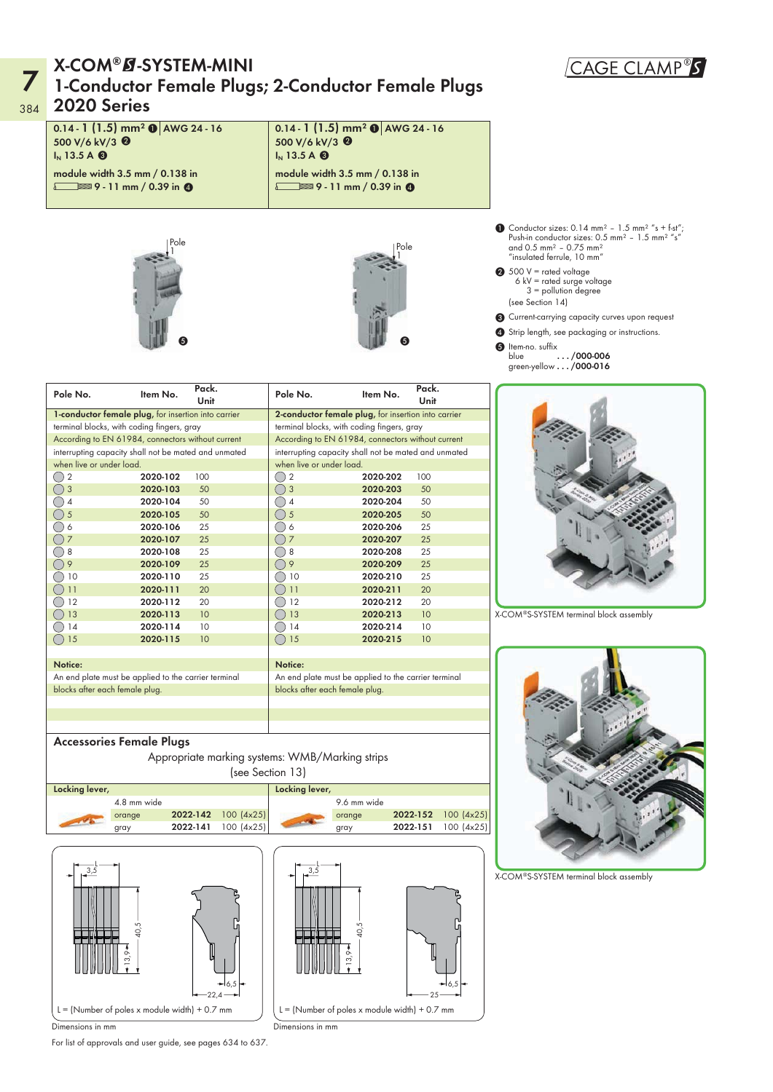### 7 384 2020 Series X-COM®Ø-SYSTEM-MINI<br>1-Conductor Female Plugs; 2-Conductor Female Plugs

### 0.14 -  $1 \, (1.5)$  mm $^2$   $\bullet$   $\mid$  AWG 24 - 16 500 V/6 kV/3 <sup>@</sup>

I<sub>N</sub> 13.5 A  $\odot$ module width 3.5 mm / 0.138 in

 $\sqrt{ }$  9 - 11 mm / 0.39 in 0





0.14 -  $1 \, (1.5)$  mm $^2$   $\bullet$   $\mid$  AWG 24 - 16

module width 3.5 mm / 0.138 in  $\sqrt{2}$  9 - 11 mm / 0.39 in 0

500 V/6 kV/3 <sup>@</sup>  $I_N$  13.5 A  $\odot$ 

- **1** Conductor sizes: 0.14 mm<sup>2</sup> 1.5 mm<sup>2</sup> "s + f-st";<br>Push-in conductor sizes: 0.5 mm<sup>2</sup> 1.5 mm<sup>2</sup> "s" and  $0.5$  mm<sup>2</sup> -  $0.75$  mm<sup>2</sup> "insulated ferrule, 10 mm"
- $\bigcirc$  500 V = rated voltage<br>6 kV = rated surge voltage 3 = pollution degree (see Section 14)
- 3 Current-carrying capacity curves upon request
- **4** Strip length, see packaging or instructions.
- **6** Item-no. suffix blue .../000-006 green-yellow . . . / 000-016

| Pole No.                                                   | Item No. | Pack.<br>Unit | Pole No.                 | Item No.                                             | Pack.<br>Unit |
|------------------------------------------------------------|----------|---------------|--------------------------|------------------------------------------------------|---------------|
| <b>1-conductor female plug, for insertion into carrier</b> |          |               |                          | 2-conductor female plug, for insertion into carrier  |               |
| terminal blocks, with coding fingers, gray                 |          |               |                          | terminal blocks, with coding fingers, gray           |               |
| According to EN 61984, connectors without current          |          |               |                          | According to EN 61984, connectors without current    |               |
| interrupting capacity shall not be mated and unmated       |          |               |                          | interrupting capacity shall not be mated and unmated |               |
| when live or under load.                                   |          |               | when live or under load. |                                                      |               |
|                                                            | 2020-102 | 100           | 2                        | 2020-202                                             | 100           |
|                                                            | 2020-103 | 50            | 3                        | 2020-203                                             | 50            |
|                                                            | 2020-104 | 50            | 4                        | 2020-204                                             | 50            |
|                                                            | 2020-105 | 50            | 5                        | 2020-205                                             | 50            |
|                                                            | 2020-106 | 25            | 6                        | 2020-206                                             | 25            |
|                                                            | 2020-107 | 25            | 7                        | 2020-207                                             | 25            |
| 8                                                          | 2020-108 | 25            | 8                        | 2020-208                                             | 25            |
|                                                            | 2020-109 | 25            | 9                        | 2020-209                                             | 25            |
| 10                                                         | 2020-110 | 25            | 10                       | 2020-210                                             | 25            |
| 11                                                         | 2020-111 | 20            | 11                       | 2020-211                                             | 20            |
| $\overline{2}$                                             | 2020-112 | 20            | 12                       | 2020-212                                             | 20            |
| 3 ا                                                        | 2020-113 | 10            | 13                       | 2020-213                                             | 10            |
| 14                                                         | 2020-114 | 10            | 14                       | 2020-214                                             | 10            |
| 5                                                          | 2020-115 | 10            | 15                       | 2020-215                                             | 10            |
|                                                            |          |               |                          |                                                      |               |

Notice:



X-COM®S-SYSTEM terminal block assembly

An end plate must be applied to the carrier terminal blocks after each female plug. An end plate must be applied to the carrier terminal blocks after each female plug. Appropriate marking systems: WMB/Marking strips Accessories Female Plugs

Notice:





X-COM®S-SYSTEM terminal block assembly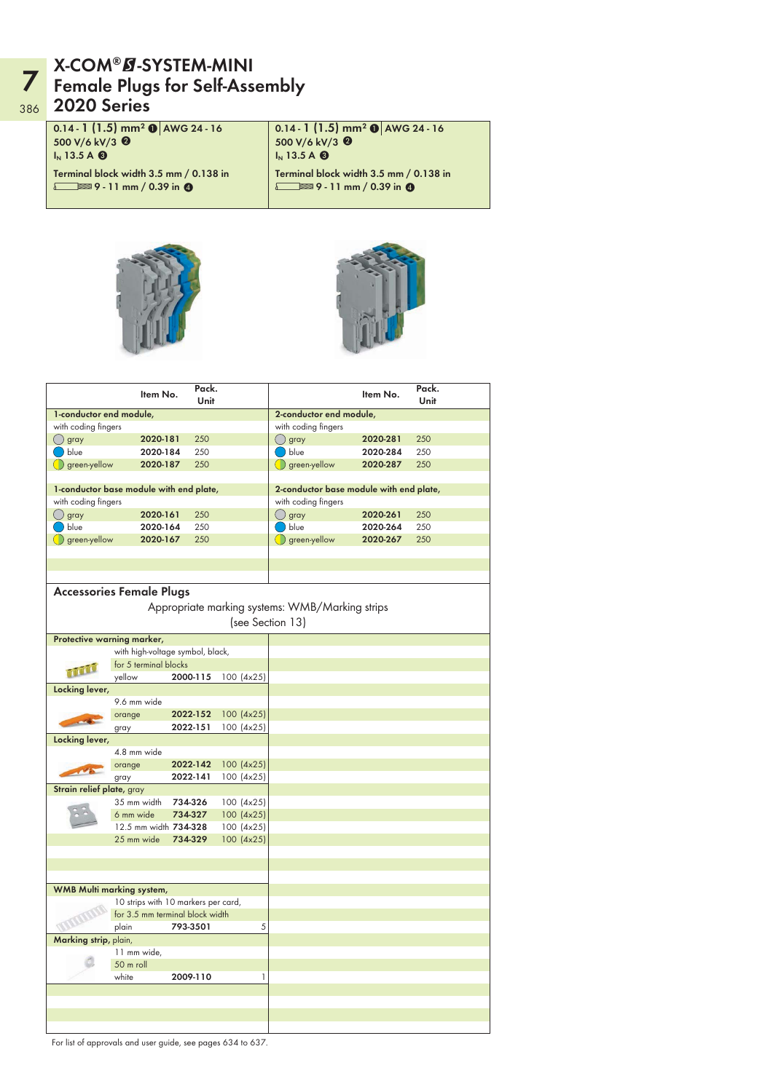### **7** X-COM®Ø-SYSTEM-MINI<br>7 Female Plugs for Self-Assembly 386 2020 Series

0.14 -  $1 \, (1.5)$  mm $^2$   $\bullet$   $\mid$  AWG 24 - 16 500 V/6 kV/3 <sup>@</sup> I<sub>N</sub> 13.5 A  $\odot$ Terminal block width 3.5 mm / 0.138 in  $\sqrt{ }$  9 - 11 mm / 0.39 in 0

0.14 -  $1 \, (1.5)$  mm $^2$   $\bullet$   $\mid$  AWG 24 - 16 500 V/6 kV/3 <sup>@</sup>  $I_N$  13.5 A  $\odot$ Terminal block width 3.5 mm / 0.138 in  $\sqrt{2}$  9 - 11 mm / 0.39 in 0





|                           | Item No.                                | Pack.<br>Unit |            |                                                 | Item No.                                | Pack.<br>Unit |
|---------------------------|-----------------------------------------|---------------|------------|-------------------------------------------------|-----------------------------------------|---------------|
| 1-conductor end module,   |                                         |               |            | 2-conductor end module,                         |                                         |               |
| with coding fingers       |                                         |               |            | with coding fingers                             |                                         |               |
| $\bigcirc$ gray           | 2020-181                                | 250           |            | (∪ gray                                         | 2020-281                                | 250           |
| blue                      | 2020-184                                | 250           |            | blue                                            | 2020-284                                | 250           |
| green-yellow              | 2020-187                                | 250           |            | $\bigcirc$ green-yellow                         | 2020-287                                | 250           |
|                           |                                         |               |            |                                                 |                                         |               |
|                           | 1-conductor base module with end plate, |               |            |                                                 | 2-conductor base module with end plate, |               |
| with coding fingers       |                                         |               |            | with coding fingers                             |                                         |               |
| () gray                   | 2020-161                                | 250           |            | () gray                                         | 2020-261                                | 250           |
| $\big)$ blue              | 2020-164                                | 250           |            | $\big)$ blue                                    | 2020-264                                | 250           |
| $\bigcirc$ green-yellow   | 2020-167                                | 250           |            | $\bigcirc$ green-yellow                         | 2020-267                                | 250           |
|                           |                                         |               |            |                                                 |                                         |               |
|                           |                                         |               |            |                                                 |                                         |               |
|                           |                                         |               |            |                                                 |                                         |               |
|                           |                                         |               |            |                                                 |                                         |               |
|                           | <b>Accessories Female Plugs</b>         |               |            |                                                 |                                         |               |
|                           |                                         |               |            | Appropriate marking systems: WMB/Marking strips |                                         |               |
|                           |                                         |               |            | (see Section 13)                                |                                         |               |
|                           | Protective warning marker,              |               |            |                                                 |                                         |               |
|                           | with high-voltage symbol, black,        |               |            |                                                 |                                         |               |
|                           | for 5 terminal blocks                   |               |            |                                                 |                                         |               |
| mill                      |                                         |               |            |                                                 |                                         |               |
|                           | yellow                                  | 2000-115      | 100 (4x25) |                                                 |                                         |               |
| Locking lever,            |                                         |               |            |                                                 |                                         |               |
|                           | 9.6 mm wide                             |               |            |                                                 |                                         |               |
|                           | orange                                  | 2022-152      | 100 (4x25) |                                                 |                                         |               |
|                           | gray                                    | 2022-151      | 100 (4x25) |                                                 |                                         |               |
| Locking lever,            |                                         |               |            |                                                 |                                         |               |
|                           | 4.8 mm wide                             |               |            |                                                 |                                         |               |
|                           | orange                                  | 2022-142      | 100 (4x25) |                                                 |                                         |               |
|                           | gray                                    | 2022-141      | 100 (4x25) |                                                 |                                         |               |
| Strain relief plate, gray |                                         |               |            |                                                 |                                         |               |
|                           | 35 mm width                             | 734-326       | 100 (4x25) |                                                 |                                         |               |
|                           | 6 mm wide                               | 734-327       | 100 (4x25) |                                                 |                                         |               |
|                           | 12.5 mm width 734-328                   |               | 100 (4x25) |                                                 |                                         |               |
|                           | 25 mm wide                              | 734-329       | 100 (4x25) |                                                 |                                         |               |
|                           |                                         |               |            |                                                 |                                         |               |
|                           |                                         |               |            |                                                 |                                         |               |
|                           |                                         |               |            |                                                 |                                         |               |
|                           | WMB Multi marking system,               |               |            |                                                 |                                         |               |
|                           | 10 strips with 10 markers per card,     |               |            |                                                 |                                         |               |
|                           | for 3.5 mm terminal block width         |               |            |                                                 |                                         |               |
|                           | plain                                   | 793-3501      | 5          |                                                 |                                         |               |
| Marking strip, plain,     |                                         |               |            |                                                 |                                         |               |
|                           | 11 mm wide,                             |               |            |                                                 |                                         |               |
|                           | 50 m roll                               |               |            |                                                 |                                         |               |
|                           | white                                   | 2009-110      | 1          |                                                 |                                         |               |
|                           |                                         |               |            |                                                 |                                         |               |
|                           |                                         |               |            |                                                 |                                         |               |
|                           |                                         |               |            |                                                 |                                         |               |
|                           |                                         |               |            |                                                 |                                         |               |
|                           |                                         |               |            |                                                 |                                         |               |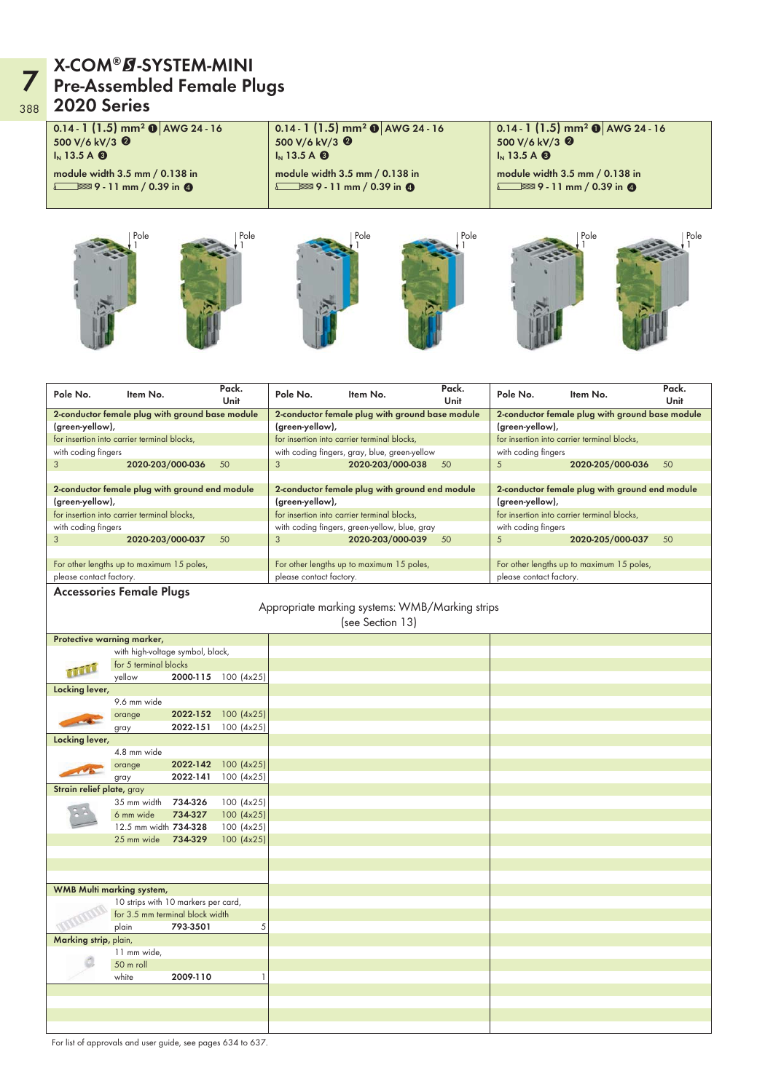### **7** X-COM®Ø-SYSTEM-MINI<br>7 Pre-Assembled Female Plugs 388 2020 Series

Pole 1 Pole 1 0.14 -  $1 \, (1.5)$  mm $^2$   $\bullet$   $\mid$  AWG 24 - 16 500 V/6 kV/3 <sup>@</sup> I<sub>N</sub> 13.5 A  $\odot$ module width 3.5 mm / 0.138 in  $\sqrt{ }$  9 - 11 mm / 0.39 in 0 Pole 1 Pole 1 0.14 -  $1 \, (1.5)$  mm $^2$   $\bullet$   $\mid$  AWG 24 - 16 500 V/6 kV/3 <sup>@</sup>  $I_N$  13.5 A  $\odot$ module width 3.5 mm / 0.138 in  $\sqrt{2}$  9 - 11 mm / 0.39 in 0 Pole 1 Pole 1 0.14 - 1  $(1.5)$  mm $^2$  O  $\,$  AWG 24 - 16 500 V/6 kV/3 <sup>0</sup>  $I_N$  13.5 A  $\otimes$ module width 3.5 mm / 0.138 in  $\sqrt{ }$  9 - 11 mm / 0.39 in 0

| Pole No.                  | Item No.                                        |          | Pack.<br>Unit       | Pole No.                | Item No.                                        | Pack.<br>Unit | Pole No.                | Item No.                                        | Pack.<br>Unit |
|---------------------------|-------------------------------------------------|----------|---------------------|-------------------------|-------------------------------------------------|---------------|-------------------------|-------------------------------------------------|---------------|
|                           | 2-conductor female plug with ground base module |          |                     |                         | 2-conductor female plug with ground base module |               |                         | 2-conductor female plug with ground base module |               |
| (green-yellow),           |                                                 |          |                     | (green-yellow),         |                                                 |               | (green-yellow),         |                                                 |               |
|                           | for insertion into carrier terminal blocks,     |          |                     |                         | for insertion into carrier terminal blocks,     |               |                         | for insertion into carrier terminal blocks,     |               |
| with coding fingers       |                                                 |          |                     |                         | with coding fingers, gray, blue, green-yellow   |               | with coding fingers     |                                                 |               |
| 3                         | 2020-203/000-036                                |          | 50                  | 3                       | 2020-203/000-038                                | 50            | 5                       | 2020-205/000-036                                | 50            |
|                           |                                                 |          |                     |                         |                                                 |               |                         |                                                 |               |
|                           | 2-conductor female plug with ground end module  |          |                     |                         | 2-conductor female plug with ground end module  |               |                         | 2-conductor female plug with ground end module  |               |
| (green-yellow),           |                                                 |          |                     | (green-yellow),         |                                                 |               | (green-yellow),         |                                                 |               |
|                           | for insertion into carrier terminal blocks,     |          |                     |                         | for insertion into carrier terminal blocks,     |               |                         | for insertion into carrier terminal blocks,     |               |
| with coding fingers       |                                                 |          |                     |                         | with coding fingers, green-yellow, blue, gray   |               | with coding fingers     |                                                 |               |
| 3                         | 2020-203/000-037                                |          | 50                  | 3                       | 2020-203/000-039                                | 50            | $5\overline{)}$         | 2020-205/000-037                                | 50            |
|                           |                                                 |          |                     |                         |                                                 |               |                         |                                                 |               |
|                           | For other lengths up to maximum 15 poles,       |          |                     |                         | For other lengths up to maximum 15 poles,       |               |                         | For other lengths up to maximum 15 poles,       |               |
| please contact factory.   |                                                 |          |                     | please contact factory. |                                                 |               | please contact factory. |                                                 |               |
|                           | <b>Accessories Female Plugs</b>                 |          |                     |                         |                                                 |               |                         |                                                 |               |
|                           |                                                 |          |                     |                         | Appropriate marking systems: WMB/Marking strips |               |                         |                                                 |               |
|                           |                                                 |          |                     |                         |                                                 |               |                         |                                                 |               |
|                           |                                                 |          |                     |                         | (see Section 13)                                |               |                         |                                                 |               |
|                           | Protective warning marker,                      |          |                     |                         |                                                 |               |                         |                                                 |               |
|                           | with high-voltage symbol, black,                |          |                     |                         |                                                 |               |                         |                                                 |               |
|                           | for 5 terminal blocks                           |          |                     |                         |                                                 |               |                         |                                                 |               |
|                           | yellow                                          |          | 2000-115 100 (4x25) |                         |                                                 |               |                         |                                                 |               |
| Locking lever,            |                                                 |          |                     |                         |                                                 |               |                         |                                                 |               |
|                           | 9.6 mm wide                                     |          |                     |                         |                                                 |               |                         |                                                 |               |
|                           | orange                                          | 2022-152 | 100 (4x25)          |                         |                                                 |               |                         |                                                 |               |
|                           | gray                                            | 2022-151 | 100 (4x25)          |                         |                                                 |               |                         |                                                 |               |
| Locking lever,            |                                                 |          |                     |                         |                                                 |               |                         |                                                 |               |
|                           | 4.8 mm wide                                     |          |                     |                         |                                                 |               |                         |                                                 |               |
|                           | orange                                          | 2022-142 | 100 (4x25)          |                         |                                                 |               |                         |                                                 |               |
|                           | gray                                            | 2022-141 | 100(4x25)           |                         |                                                 |               |                         |                                                 |               |
| Strain relief plate, gray |                                                 |          |                     |                         |                                                 |               |                         |                                                 |               |
|                           | 35 mm width                                     | 734-326  | 100 (4x25)          |                         |                                                 |               |                         |                                                 |               |
|                           | 6 mm wide                                       | 734-327  | 100 (4x25)          |                         |                                                 |               |                         |                                                 |               |
|                           | 12.5 mm width 734-328                           |          | 100 (4x25)          |                         |                                                 |               |                         |                                                 |               |
|                           | 25 mm wide                                      | 734-329  | 100 (4x25)          |                         |                                                 |               |                         |                                                 |               |
|                           |                                                 |          |                     |                         |                                                 |               |                         |                                                 |               |
|                           |                                                 |          |                     |                         |                                                 |               |                         |                                                 |               |
|                           |                                                 |          |                     |                         |                                                 |               |                         |                                                 |               |
|                           | WMB Multi marking system,                       |          |                     |                         |                                                 |               |                         |                                                 |               |
|                           | 10 strips with 10 markers per card,             |          |                     |                         |                                                 |               |                         |                                                 |               |
|                           | for 3.5 mm terminal block width                 |          |                     |                         |                                                 |               |                         |                                                 |               |
|                           | plain                                           | 793-3501 | 5                   |                         |                                                 |               |                         |                                                 |               |
| Marking strip, plain,     |                                                 |          |                     |                         |                                                 |               |                         |                                                 |               |
|                           | 11 mm wide,                                     |          |                     |                         |                                                 |               |                         |                                                 |               |
|                           | 50 m roll                                       |          |                     |                         |                                                 |               |                         |                                                 |               |
|                           | white                                           | 2009-110 | 1                   |                         |                                                 |               |                         |                                                 |               |
|                           |                                                 |          |                     |                         |                                                 |               |                         |                                                 |               |
|                           |                                                 |          |                     |                         |                                                 |               |                         |                                                 |               |
|                           |                                                 |          |                     |                         |                                                 |               |                         |                                                 |               |
|                           |                                                 |          |                     |                         |                                                 |               |                         |                                                 |               |
|                           |                                                 |          |                     |                         |                                                 |               |                         |                                                 |               |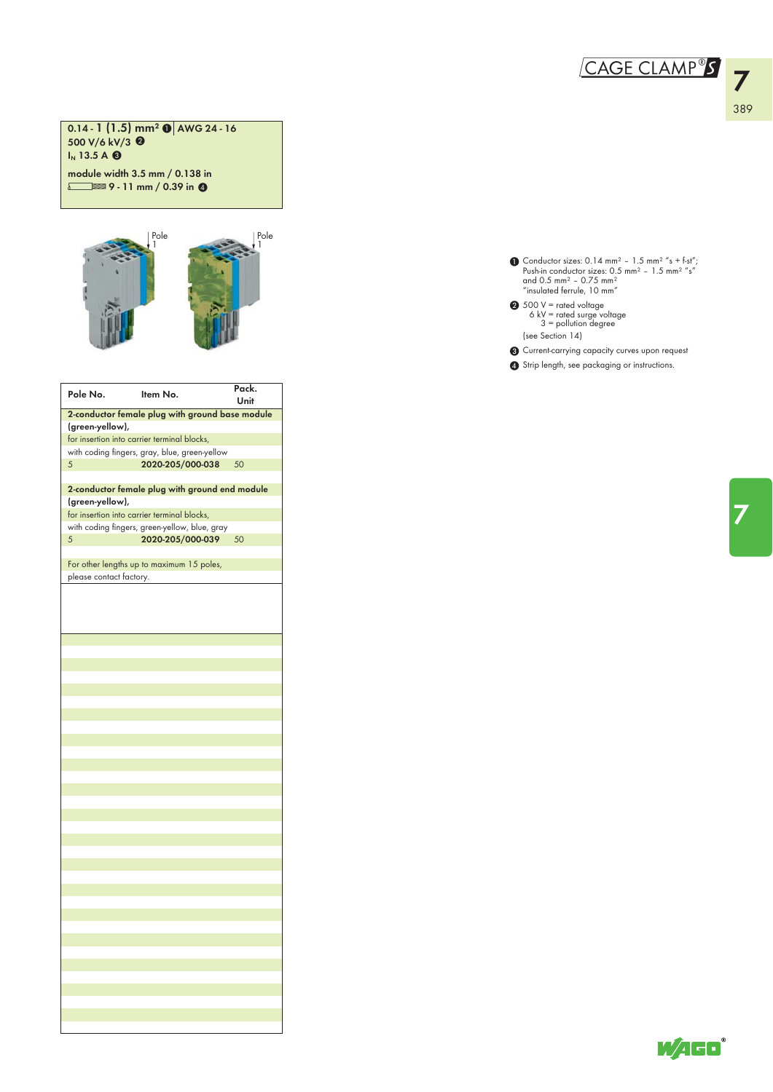### CAGE CLAMP<sup>®</sup>S

0.14 - 1 (1.5) mm² **0** <mark>AWG 24 - 16</mark> 500 V/6 kV/3 <sup>@</sup>  $I_N$  13.5 A  $\odot$ 

module width 3.5 mm / 0.138 in  $\sqrt{2}$  9 - 11 mm / 0.39 in 0



| Pole No.                | Item No.                                        | Pack.<br>Unit |
|-------------------------|-------------------------------------------------|---------------|
|                         | 2-conductor female plug with ground base module |               |
| (green-yellow),         |                                                 |               |
|                         | for insertion into carrier terminal blocks,     |               |
|                         | with coding fingers, gray, blue, green-yellow   |               |
| 5                       | 2020-205/000-038                                | 50            |
|                         |                                                 |               |
|                         | 2-conductor female plug with ground end module  |               |
| (green-yellow),         | for insertion into carrier terminal blocks,     |               |
|                         | with coding fingers, green-yellow, blue, gray   |               |
| 5                       | 2020-205/000-039                                | 50            |
|                         |                                                 |               |
|                         | For other lengths up to maximum 15 poles,       |               |
| please contact factory. |                                                 |               |
|                         |                                                 |               |
|                         |                                                 |               |
|                         |                                                 |               |
|                         |                                                 |               |
|                         |                                                 |               |
|                         |                                                 |               |
|                         |                                                 |               |
|                         |                                                 |               |
|                         |                                                 |               |
|                         |                                                 |               |
|                         |                                                 |               |
|                         |                                                 |               |
|                         |                                                 |               |
|                         |                                                 |               |
|                         |                                                 |               |
|                         |                                                 |               |
|                         |                                                 |               |
|                         |                                                 |               |
|                         |                                                 |               |
|                         |                                                 |               |
|                         |                                                 |               |
|                         |                                                 |               |
|                         |                                                 |               |
|                         |                                                 |               |
|                         |                                                 |               |
|                         |                                                 |               |
|                         |                                                 |               |
|                         |                                                 |               |
|                         |                                                 |               |
|                         |                                                 |               |
|                         |                                                 |               |
|                         |                                                 |               |
|                         |                                                 |               |
|                         |                                                 |               |
|                         |                                                 |               |

- Conductor sizes:  $0.14$  mm<sup>2</sup>  $1.5$  mm<sup>2</sup> "s + f-st",<br>Push-in conductor sizes:  $0.5$  mm<sup>2</sup>  $1.5$  mm<sup>2</sup> "s"<br>and 0.5 mm<sup>2</sup> 0.75 mm<sup>2</sup><br>"insulated ferrule, 10 mm"  $\bf{0}$
- 500 V = rated voltage 6 kV = rated surge voltage 3 = pollution degree (see Section 14)  $\boldsymbol{c}$
- 3 Current-carrying capacity curves upon request
- 4 Strip length, see packaging or instructions.

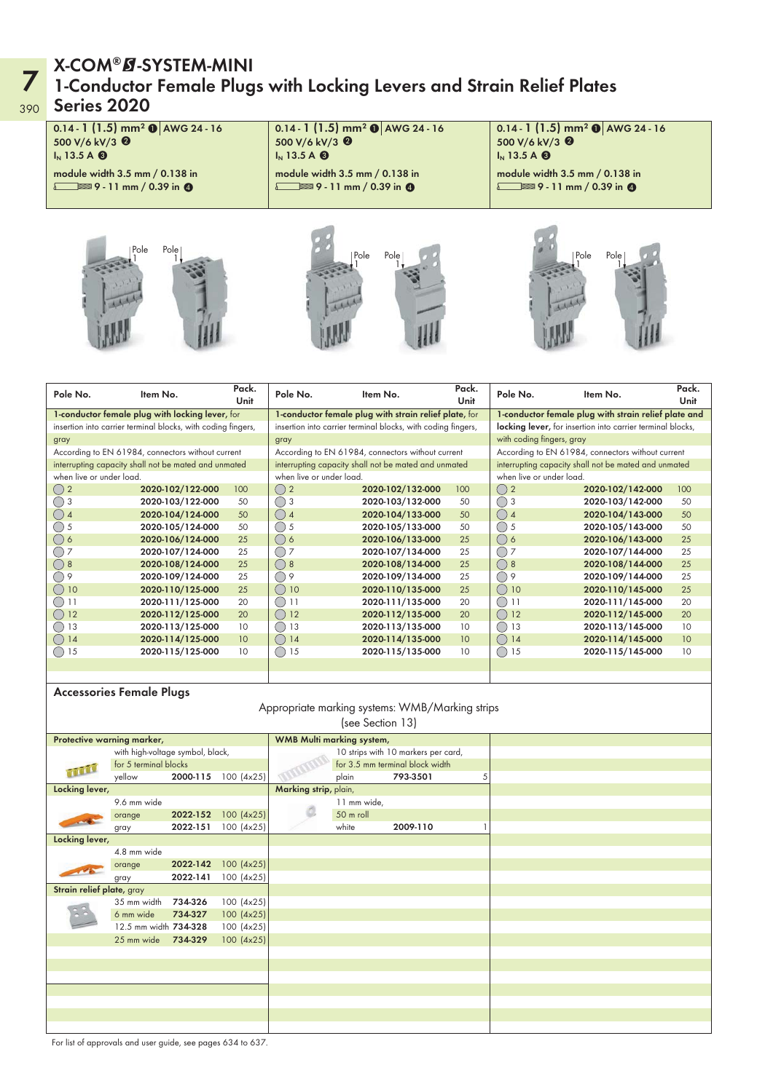## 390 Series 2020 X-COM®Ø-SYSTEM-MINI<br>1-Conductor Female Plugs with Locking Levers and Strain Relief Plates



| Pole No.                 | Item No.                                                     | Pack.<br>Unit | Pole No.                                              | Item No.                                                     | Pack.<br><b>Unit</b>                                 | Pole No.                                                   | Item No.                                             | Pack.<br>Unit |
|--------------------------|--------------------------------------------------------------|---------------|-------------------------------------------------------|--------------------------------------------------------------|------------------------------------------------------|------------------------------------------------------------|------------------------------------------------------|---------------|
|                          | 1-conductor female plug with locking lever, for              |               |                                                       | 1-conductor female plug with strain relief plate, for        | 1-conductor female plug with strain relief plate and |                                                            |                                                      |               |
|                          | insertion into carrier terminal blocks, with coding fingers, |               |                                                       | insertion into carrier terminal blocks, with coding fingers, |                                                      | locking lever, for insertion into carrier terminal blocks, |                                                      |               |
| gray                     |                                                              |               | gray                                                  |                                                              | with coding fingers, gray                            |                                                            |                                                      |               |
|                          | According to EN 61984, connectors without current            |               |                                                       | According to EN 61984, connectors without current            |                                                      | According to EN 61984, connectors without current          |                                                      |               |
|                          | interrupting capacity shall not be mated and unmated         |               |                                                       | interrupting capacity shall not be mated and unmated         |                                                      |                                                            | interrupting capacity shall not be mated and unmated |               |
| when live or under load. |                                                              |               | when live or under load.                              |                                                              | when live or under load.                             |                                                            |                                                      |               |
| ()2                      | 2020-102/122-000                                             | 100           | ()2                                                   | 2020-102/132-000                                             | 100                                                  | ()2                                                        | 2020-102/142-000                                     | 100           |
| ◯ 3                      | 2020-103/122-000                                             | 50            | ()3                                                   | 2020-103/132-000                                             | 50                                                   | ()3                                                        | 2020-103/142-000                                     | 50            |
| ()4                      | 2020-104/124-000                                             | 50            | ()4                                                   | 2020-104/133-000                                             | 50                                                   | ()4                                                        | 2020-104/143-000                                     | 50            |
| ()5                      | 2020-105/124-000                                             | 50            | ()5                                                   | 2020-105/133-000                                             | 50                                                   | $()$ 5                                                     | 2020-105/143-000                                     | 50            |
| ()6                      | 2020-106/124-000                                             | 25            | ()6                                                   | 2020-106/133-000                                             | 25                                                   | ()6                                                        | 2020-106/143-000                                     | 25            |
| ()7                      | 2020-107/124-000                                             | 25            | ()7                                                   | 2020-107/134-000                                             | 25                                                   | ()7                                                        | 2020-107/144-000                                     | 25            |
| ()8                      | 2020-108/124-000                                             | 25            | ()8                                                   | 2020-108/134-000                                             | 25                                                   | ()8                                                        | 2020-108/144-000                                     | 25            |
| ( ) 9                    | 2020-109/124-000                                             | 25            | $\bigcirc$<br>9                                       | 2020-109/134-000                                             | 25                                                   | ()9                                                        | 2020-109/144-000                                     | 25            |
| $\bigcirc$ 10            | 2020-110/125-000                                             | 25            | $\left( \begin{array}{c} 1 \end{array} \right)$<br>10 | 2020-110/135-000                                             | 25                                                   | $\left(\begin{array}{c} \end{array}\right)$<br>10          | 2020-110/145-000                                     | 25            |
|                          | 2020-111/125-000                                             | 20            | 11<br>()                                              | 2020-111/135-000                                             | 20                                                   | (                                                          | 2020-111/145-000                                     | 20            |
| ()12                     | 2020-112/125-000                                             | 20            | 12<br>$($ )                                           | 2020-112/135-000                                             | 20                                                   | ∩<br>12                                                    | 2020-112/145-000                                     | 20            |
| 13                       | 2020-113/125-000                                             | 10            | 13<br>$($ )                                           | 2020-113/135-000                                             | 10                                                   | 13<br>( )                                                  | 2020-113/145-000                                     | 10            |
| 14                       | 2020-114/125-000                                             | 10            | 14<br>$($ )                                           | 2020-114/135-000                                             | 10 <sup>°</sup>                                      | ( )<br>14                                                  | 2020-114/145-000                                     | 10            |
| ( ) 15                   | 2020-115/125-000                                             | 10            | 15<br>$($ )                                           | 2020-115/135-000                                             | 10                                                   | ()15                                                       | 2020-115/145-000                                     | 10            |
|                          |                                                              |               |                                                       |                                                              |                                                      |                                                            |                                                      |               |

#### Accessories Female Plugs

#### Appropriate marking systems: WMB/Marking strips (see Section 13)

|                           | Protective warning marker,       |          |            | WMB Multi marking system, |                                 |                                     |   |
|---------------------------|----------------------------------|----------|------------|---------------------------|---------------------------------|-------------------------------------|---|
|                           | with high-voltage symbol, black, |          |            |                           |                                 | 10 strips with 10 markers per card, |   |
| for 5 terminal blocks     |                                  |          |            |                           | for 3.5 mm terminal block width |                                     |   |
|                           | yellow                           | 2000-115 | 100 (4x25) |                           | plain                           | 793-3501                            | 5 |
| Locking lever,            |                                  |          |            | Marking strip, plain,     |                                 |                                     |   |
|                           | 9.6 mm wide                      |          |            |                           | 11 mm wide,                     |                                     |   |
|                           | orange                           | 2022-152 | 100 (4x25) |                           | 50 m roll                       |                                     |   |
|                           | gray                             | 2022-151 | 100 (4x25) |                           | white                           | 2009-110                            |   |
| Locking lever,            |                                  |          |            |                           |                                 |                                     |   |
|                           | 4.8 mm wide                      |          |            |                           |                                 |                                     |   |
|                           | orange                           | 2022-142 | 100 (4x25) |                           |                                 |                                     |   |
|                           | gray                             | 2022-141 | 100 (4x25) |                           |                                 |                                     |   |
| Strain relief plate, gray |                                  |          |            |                           |                                 |                                     |   |
|                           | 35 mm width 734-326              |          | 100 (4x25) |                           |                                 |                                     |   |
|                           | 6 mm wide                        | 734-327  | 100 (4x25) |                           |                                 |                                     |   |
|                           | 12.5 mm width 734-328            |          | 100 (4x25) |                           |                                 |                                     |   |
|                           | 25 mm wide 734-329               |          | 100 (4x25) |                           |                                 |                                     |   |
|                           |                                  |          |            |                           |                                 |                                     |   |
|                           |                                  |          |            |                           |                                 |                                     |   |
|                           |                                  |          |            |                           |                                 |                                     |   |
|                           |                                  |          |            |                           |                                 |                                     |   |
|                           |                                  |          |            |                           |                                 |                                     |   |
|                           |                                  |          |            |                           |                                 |                                     |   |
|                           |                                  |          |            |                           |                                 |                                     |   |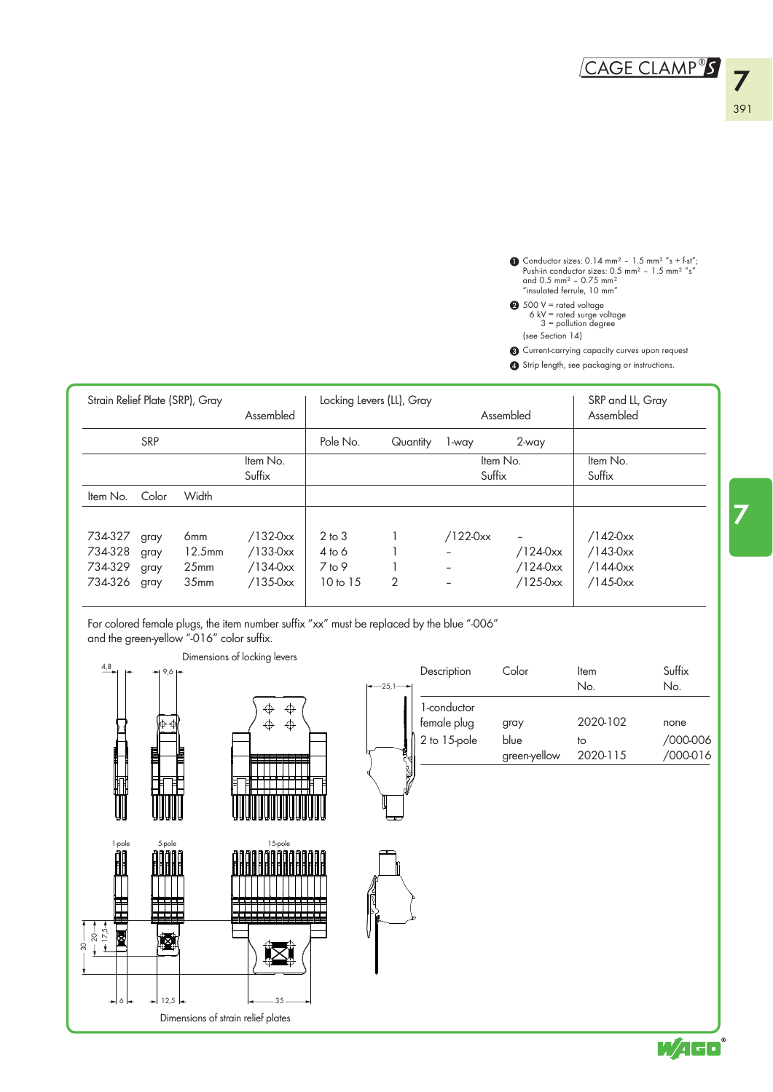Conductor sizes:  $0.14$  mm<sup>2</sup> -  $1.5$  mm<sup>2</sup> "s + f-st",<br>Push-in conductor sizes:  $0.5$  mm<sup>2</sup> -  $1.5$  mm<sup>2</sup> "s"<br>and 0.5 mm<sup>2</sup> - 0.75 mm<sup>2</sup><br>"insulated ferrule, 10 mm"  $\bf{0}$ 

- 500 V = rated voltage 6 kV = rated surge voltage 3 = pollution degree  $\boldsymbol{c}$ 
	- (see Section 14)
- 3 Current-carrying capacity curves upon request
- 4 Strip length, see packaging or instructions.

|                                          |                              | Strain Relief Plate (SRP), Gray                                   | Assembled                                         |                                                           | Locking Levers (LL), Gray |                    | Assembled                                                    | SRP and LL, Gray<br>Assembled                     |
|------------------------------------------|------------------------------|-------------------------------------------------------------------|---------------------------------------------------|-----------------------------------------------------------|---------------------------|--------------------|--------------------------------------------------------------|---------------------------------------------------|
|                                          | <b>SRP</b>                   |                                                                   |                                                   | Pole No.                                                  | Quantity                  | 1-way              | 2-way                                                        |                                                   |
|                                          |                              |                                                                   | Item No.<br>Suffix                                |                                                           |                           | Item No.<br>Suffix |                                                              | Item No.<br>Suffix                                |
| Item No.                                 | Color                        | Width                                                             |                                                   |                                                           |                           |                    |                                                              |                                                   |
| 734-327<br>734-328<br>734-329<br>734-326 | gray<br>gray<br>gray<br>gray | 6mm<br>12.5 <sub>mm</sub><br>25 <sub>mm</sub><br>35 <sub>mm</sub> | $/132-0xx$<br>$/133-0xx$<br>/1340xx<br>$/135-0xx$ | $2$ to $3$<br>$4$ to 6<br>$7$ to 9<br>10 <sub>to</sub> 15 | $\overline{2}$            | $/122-0xx$         | $\overline{\phantom{m}}$<br>/1240xx<br>/1240xx<br>$/125-0xx$ | $/142-0xx$<br>$/143-0xx$<br>/1440xx<br>$/145-0xx$ |

For colored female plugs, the item number suffix "xx" must be replaced by the blue "-006" and the green-yellow "-016" color suffix.



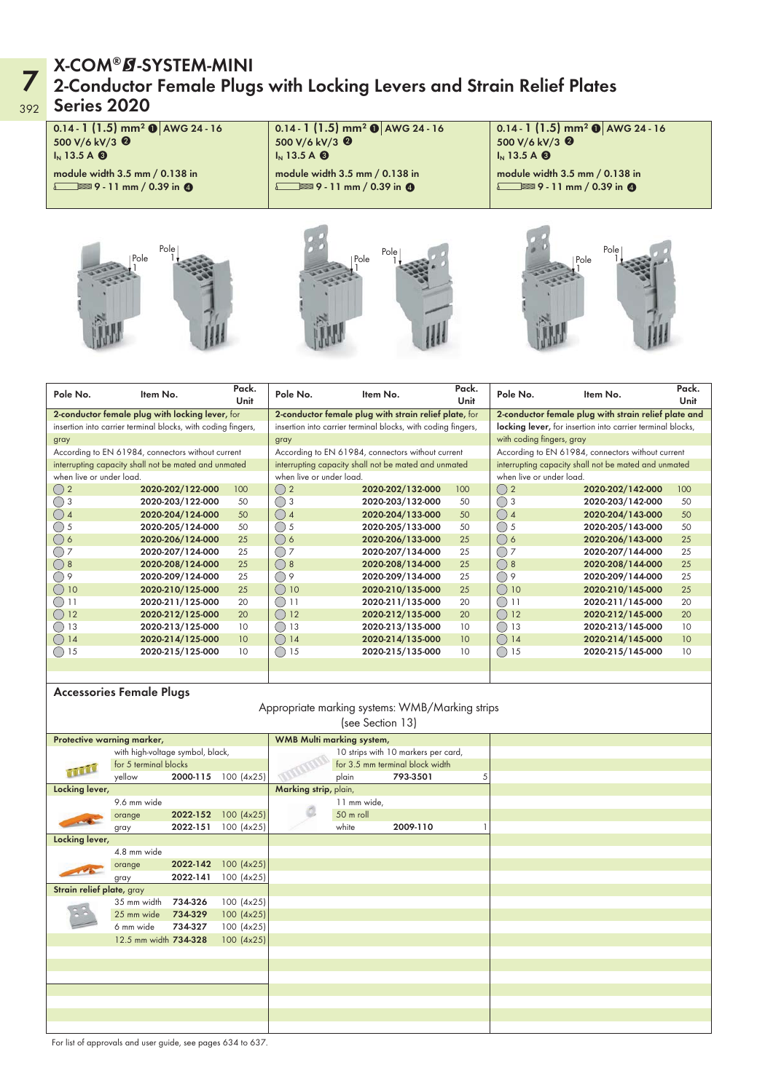## 392 Series 2020 X-COM®Ø-SYSTEM-MINI<br>2-Conductor Female Plugs with Locking Levers and Strain Relief Plates



| Pole No.                 | Item No.                                                     | Pack.<br>Unit | Pole No.                 | Item No.                                                     | Pack.<br>Unit                                              | Pole No.                                          | Item No.                                             | Pack.<br>Unit |
|--------------------------|--------------------------------------------------------------|---------------|--------------------------|--------------------------------------------------------------|------------------------------------------------------------|---------------------------------------------------|------------------------------------------------------|---------------|
|                          | 2-conductor female plug with locking lever, for              |               |                          | 2-conductor female plug with strain relief plate, for        | 2-conductor female plug with strain relief plate and       |                                                   |                                                      |               |
|                          | insertion into carrier terminal blocks, with coding fingers, |               |                          | insertion into carrier terminal blocks, with coding fingers, | locking lever, for insertion into carrier terminal blocks, |                                                   |                                                      |               |
| gray                     |                                                              |               | gray                     |                                                              | with coding fingers, gray                                  |                                                   |                                                      |               |
|                          | According to EN 61984, connectors without current            |               |                          | According to EN 61984, connectors without current            |                                                            | According to EN 61984, connectors without current |                                                      |               |
|                          | interrupting capacity shall not be mated and unmated         |               |                          | interrupting capacity shall not be mated and unmated         |                                                            |                                                   | interrupting capacity shall not be mated and unmated |               |
| when live or under load. |                                                              |               | when live or under load. |                                                              |                                                            | when live or under load.                          |                                                      |               |
| $\bigcirc$ 2             | 2020-202/122-000                                             | 100           | ()2                      | 2020-202/132-000                                             | 100                                                        | ()2                                               | 2020-202/142-000                                     | 100           |
| ()3                      | 2020-203/122-000                                             | 50            | ()3                      | 2020-203/132-000                                             | 50                                                         | ()3                                               | 2020-203/142-000                                     | 50            |
| $\bigcirc$ 4             | 2020-204/124-000                                             | 50            | ()4                      | 2020-204/133-000                                             | 50                                                         | ()4                                               | 2020-204/143-000                                     | 50            |
| $()$ 5                   | 2020-205/124-000                                             | 50            | ()5                      | 2020-205/133-000                                             | 50                                                         | $()$ 5                                            | 2020-205/143-000                                     | 50            |
| ()6                      | 2020-206/124-000                                             | 25            | ()6                      | 2020-206/133-000                                             | 25                                                         | ()6                                               | 2020-206/143-000                                     | 25            |
| ◯ ⁊                      | 2020-207/124-000                                             | 25            | $\bigcirc$ 7             | 2020-207/134-000                                             | 25                                                         | ()7                                               | 2020-207/144-000                                     | 25            |
| ()8                      | 2020-208/124-000                                             | 25            | ( ) 8                    | 2020-208/134-000                                             | 25                                                         | ()8                                               | 2020-208/144-000                                     | 25            |
| ( ) 9                    | 2020-209/124-000                                             | 25            | ( ) 9                    | 2020-209/134-000                                             | 25                                                         | ()9                                               | 2020-209/144-000                                     | 25            |
| ()10                     | 2020-210/125-000                                             | 25            | 10<br>( )                | 2020-210/135-000                                             | 25                                                         | $\bigcap$ 10                                      | 2020-210/145-000                                     | 25            |
|                          | 2020-211/125-000                                             | 20            | 11<br>( )                | 2020-211/135-000                                             | 20                                                         | $($ )                                             | 2020-211/145-000                                     | 20            |
| 12                       | 2020-212/125-000                                             | 20            | $($ )<br>12              | 2020-212/135-000                                             | 20                                                         | $\bigcirc$<br>12                                  | 2020-212/145-000                                     | 20            |
| 13<br>(                  | 2020-213/125-000                                             | 10            | $\bigcirc$<br>13         | 2020-213/135-000                                             | 10                                                         | $\left(\begin{array}{c} \end{array}\right)$<br>13 | 2020-213/145-000                                     | 10            |
| ()14                     | 2020-214/125-000                                             | 10            | ()14                     | 2020-214/135-000                                             | 10 <sup>°</sup>                                            | ( )<br>14                                         | 2020-214/145-000                                     | 10            |
| 15                       | 2020-215/125-000                                             | 10            | 15<br>$($ )              | 2020-215/135-000                                             | 10                                                         | 15<br>$($ )                                       | 2020-215/145-000                                     | 10            |
|                          |                                                              |               |                          |                                                              |                                                            |                                                   |                                                      |               |

#### Accessories Female Plugs

#### Appropriate marking systems: WMB/Marking strips (see Section 13)

| Protective warning marker,       |                       |          |                       | WMB Multi marking system,       |                                     |          |   |  |
|----------------------------------|-----------------------|----------|-----------------------|---------------------------------|-------------------------------------|----------|---|--|
| with high-voltage symbol, black, |                       |          |                       |                                 | 10 strips with 10 markers per card, |          |   |  |
|                                  | for 5 terminal blocks |          |                       | for 3.5 mm terminal block width |                                     |          |   |  |
|                                  | yellow                | 2000-115 | 100 (4x25)            |                                 | plain                               | 793-3501 | 5 |  |
| Locking lever,                   |                       |          | Marking strip, plain, |                                 |                                     |          |   |  |
|                                  | 9.6 mm wide           |          |                       |                                 | 11 mm wide,                         |          |   |  |
|                                  | orange                | 2022-152 | 100 (4x25)            |                                 | 50 m roll                           |          |   |  |
|                                  | gray                  | 2022-151 | 100 (4x25)            |                                 | white                               | 2009-110 |   |  |
| Locking lever,                   |                       |          |                       |                                 |                                     |          |   |  |
|                                  | 4.8 mm wide           |          |                       |                                 |                                     |          |   |  |
|                                  | orange                | 2022-142 | 100 (4x25)            |                                 |                                     |          |   |  |
|                                  | gray                  | 2022-141 | 100 (4x25)            |                                 |                                     |          |   |  |
| Strain relief plate, gray        |                       |          |                       |                                 |                                     |          |   |  |
|                                  | 35 mm width           | 734-326  | 100 (4x25)            |                                 |                                     |          |   |  |
|                                  | 25 mm wide            | 734-329  | 100 (4x25)            |                                 |                                     |          |   |  |
|                                  | 6 mm wide             | 734-327  | 100 (4x25)            |                                 |                                     |          |   |  |
|                                  | 12.5 mm width 734-328 |          | 100 (4x25)            |                                 |                                     |          |   |  |
|                                  |                       |          |                       |                                 |                                     |          |   |  |
|                                  |                       |          |                       |                                 |                                     |          |   |  |
|                                  |                       |          |                       |                                 |                                     |          |   |  |
|                                  |                       |          |                       |                                 |                                     |          |   |  |
|                                  |                       |          |                       |                                 |                                     |          |   |  |
|                                  |                       |          |                       |                                 |                                     |          |   |  |
|                                  |                       |          |                       |                                 |                                     |          |   |  |